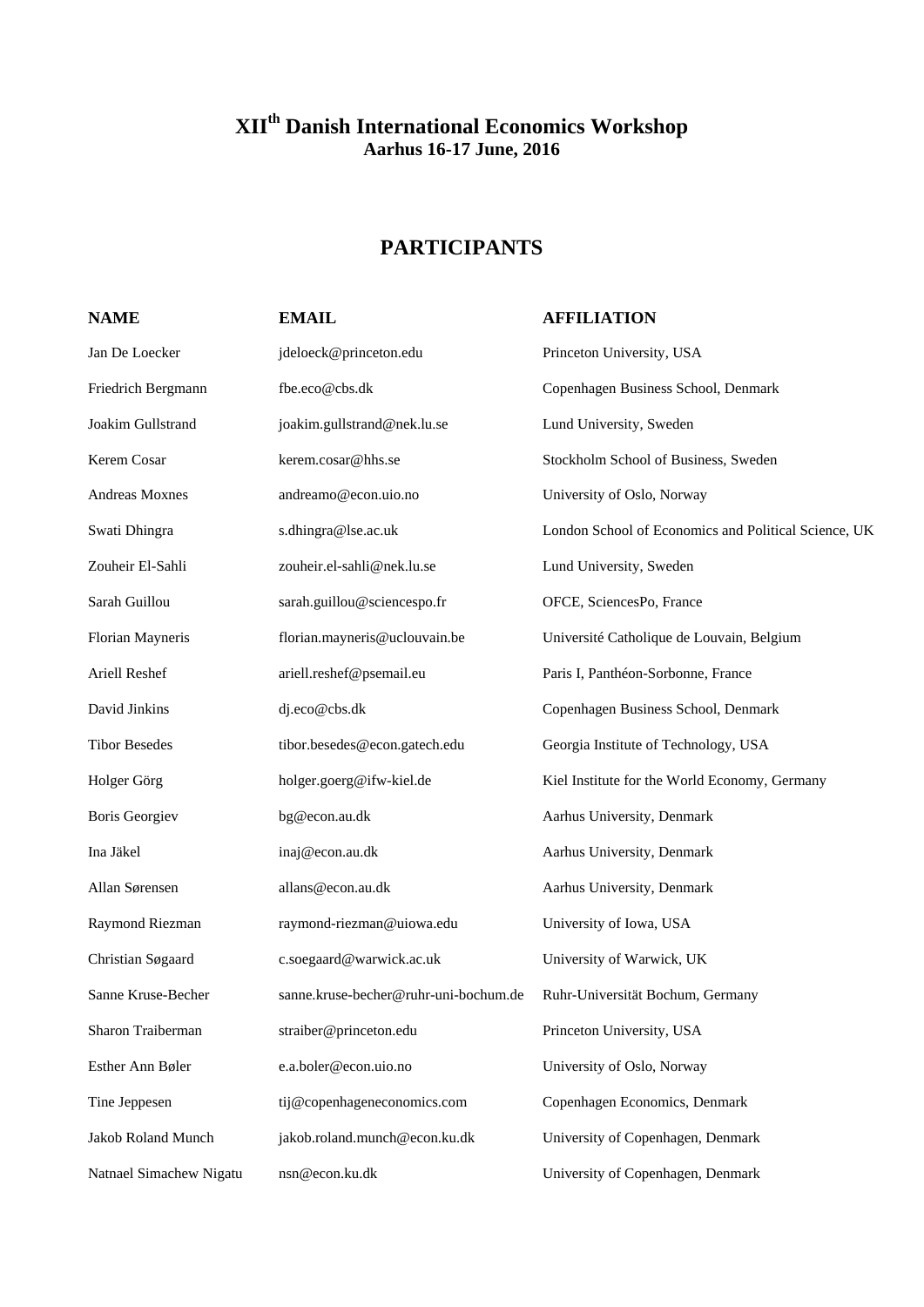## **XIIth Danish International Economics Workshop Aarhus 16-17 June, 2016**

# **PARTICIPANTS**

### **NAME EMAIL AFFILIATION**

| Jan De Loecker            | jdeloeck@princeton.edu                | Princeton University, USA                            |
|---------------------------|---------------------------------------|------------------------------------------------------|
| Friedrich Bergmann        | fbe.eco@cbs.dk                        | Copenhagen Business School, Denmark                  |
| Joakim Gullstrand         | joakim.gullstrand@nek.lu.se           | Lund University, Sweden                              |
| Kerem Cosar               | kerem.cosar@hhs.se                    | Stockholm School of Business, Sweden                 |
| Andreas Moxnes            | andreamo@econ.uio.no                  | University of Oslo, Norway                           |
| Swati Dhingra             | s.dhingra@lse.ac.uk                   | London School of Economics and Political Science, UK |
| Zouheir El-Sahli          | zouheir.el-sahli@nek.lu.se            | Lund University, Sweden                              |
| Sarah Guillou             | sarah.guillou@sciencespo.fr           | OFCE, SciencesPo, France                             |
| Florian Mayneris          | florian.mayneris@uclouvain.be         | Université Catholique de Louvain, Belgium            |
| Ariell Reshef             | ariell.reshef@psemail.eu              | Paris I, Panthéon-Sorbonne, France                   |
| David Jinkins             | dj.eco@cbs.dk                         | Copenhagen Business School, Denmark                  |
| <b>Tibor Besedes</b>      | tibor.besedes@econ.gatech.edu         | Georgia Institute of Technology, USA                 |
| Holger Görg               | holger.goerg@ifw-kiel.de              | Kiel Institute for the World Economy, Germany        |
| <b>Boris Georgiev</b>     | bg@econ.au.dk                         | Aarhus University, Denmark                           |
| Ina Jäkel                 | inaj@econ.au.dk                       | Aarhus University, Denmark                           |
| Allan Sørensen            | allans@econ.au.dk                     | Aarhus University, Denmark                           |
| Raymond Riezman           | raymond-riezman@uiowa.edu             | University of Iowa, USA                              |
| Christian Søgaard         | c.soegaard@warwick.ac.uk              | University of Warwick, UK                            |
| Sanne Kruse-Becher        | sanne.kruse-becher@ruhr-uni-bochum.de | Ruhr-Universität Bochum, Germany                     |
| Sharon Traiberman         | straiber@princeton.edu                | Princeton University, USA                            |
| Esther Ann Bøler          | e.a.boler@econ.uio.no                 | University of Oslo, Norway                           |
| Tine Jeppesen             | tij@copenhageneconomics.com           | Copenhagen Economics, Denmark                        |
| <b>Jakob Roland Munch</b> | jakob.roland.munch@econ.ku.dk         | University of Copenhagen, Denmark                    |
| Natnael Simachew Nigatu   | nsn@econ.ku.dk                        | University of Copenhagen, Denmark                    |